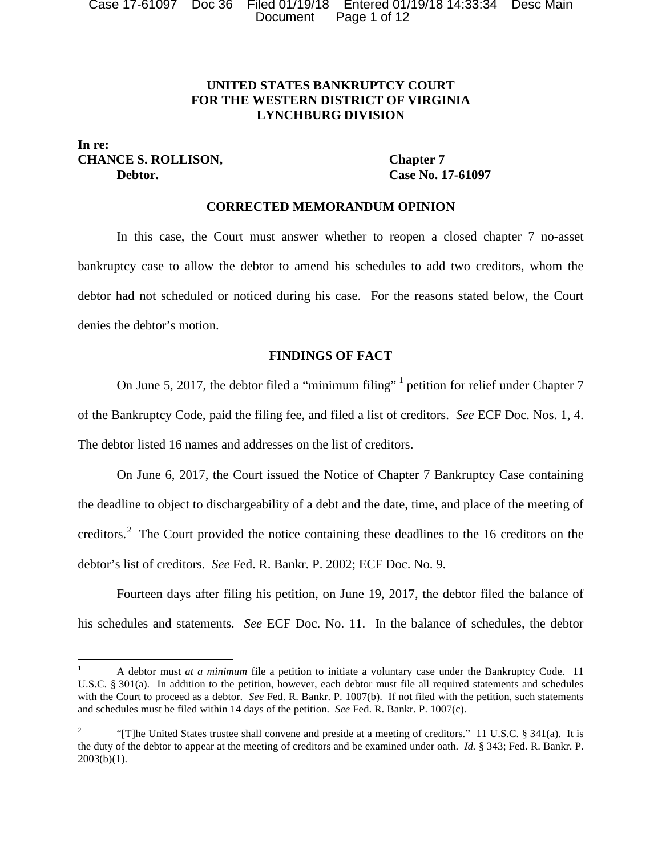Case 17-61097 Doc 36 Filed 01/19/18 Entered 01/19/18 14:33:34 Desc Main Document Page 1 of 12

# **UNITED STATES BANKRUPTCY COURT FOR THE WESTERN DISTRICT OF VIRGINIA LYNCHBURG DIVISION**

## **In re: CHANCE S. ROLLISON, Chapter 7 Debtor. Case No. 17-61097**

### **CORRECTED MEMORANDUM OPINION**

In this case, the Court must answer whether to reopen a closed chapter 7 no-asset bankruptcy case to allow the debtor to amend his schedules to add two creditors, whom the debtor had not scheduled or noticed during his case. For the reasons stated below, the Court denies the debtor's motion.

## **FINDINGS OF FACT**

On June 5, 2017, the debtor filed a "minimum filing" <sup>1</sup> petition for relief under Chapter 7 of the Bankruptcy Code, paid the filing fee, and filed a list of creditors. *See* ECF Doc. Nos. 1, 4. The debtor listed 16 names and addresses on the list of creditors.

On June 6, 2017, the Court issued the Notice of Chapter 7 Bankruptcy Case containing the deadline to object to dischargeability of a debt and the date, time, and place of the meeting of creditors.<sup>2</sup> The Court provided the notice containing these deadlines to the 16 creditors on the debtor's list of creditors. *See* Fed. R. Bankr. P. 2002; ECF Doc. No. 9.

Fourteen days after filing his petition, on June 19, 2017, the debtor filed the balance of his schedules and statements. *See* ECF Doc. No. 11. In the balance of schedules, the debtor

<sup>&</sup>lt;sup>1</sup> A debtor must *at a minimum* file a petition to initiate a voluntary case under the Bankruptcy Code. 11 U.S.C. § 301(a). In addition to the petition, however, each debtor must file all required statements and schedules with the Court to proceed as a debtor. *See* Fed. R. Bankr. P. 1007(b). If not filed with the petition, such statements and schedules must be filed within 14 days of the petition. *See* Fed. R. Bankr. P. 1007(c).

<sup>&</sup>lt;sup>2</sup> "[T]he United States trustee shall convene and preside at a meeting of creditors." 11 U.S.C. § 341(a). It is the duty of the debtor to appear at the meeting of creditors and be examined under oath. *Id.* § 343; Fed. R. Bankr. P.  $2003(b)(1)$ .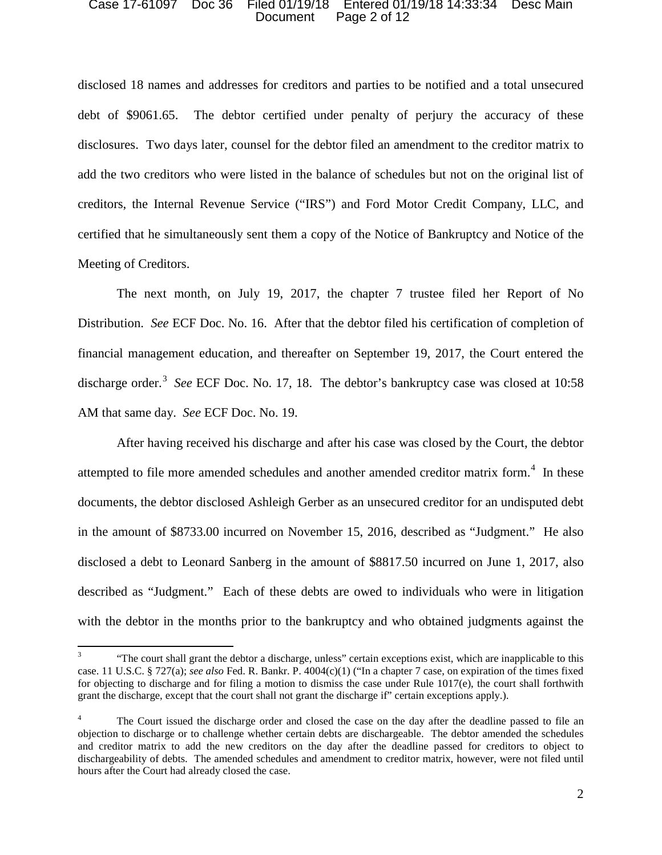#### Case 17-61097 Doc 36 Filed 01/19/18 Entered 01/19/18 14:33:34 Desc Main Document Page 2 of 12

disclosed 18 names and addresses for creditors and parties to be notified and a total unsecured debt of \$9061.65. The debtor certified under penalty of perjury the accuracy of these disclosures. Two days later, counsel for the debtor filed an amendment to the creditor matrix to add the two creditors who were listed in the balance of schedules but not on the original list of creditors, the Internal Revenue Service ("IRS") and Ford Motor Credit Company, LLC, and certified that he simultaneously sent them a copy of the Notice of Bankruptcy and Notice of the Meeting of Creditors.

The next month, on July 19, 2017, the chapter 7 trustee filed her Report of No Distribution. *See* ECF Doc. No. 16. After that the debtor filed his certification of completion of financial management education, and thereafter on September 19, 2017, the Court entered the discharge order.<sup>3</sup> See ECF Doc. No. 17, 18. The debtor's bankruptcy case was closed at 10:58 AM that same day. *See* ECF Doc. No. 19.

After having received his discharge and after his case was closed by the Court, the debtor attempted to file more amended schedules and another amended creditor matrix form.<sup>4</sup> In these documents, the debtor disclosed Ashleigh Gerber as an unsecured creditor for an undisputed debt in the amount of \$8733.00 incurred on November 15, 2016, described as "Judgment." He also disclosed a debt to Leonard Sanberg in the amount of \$8817.50 incurred on June 1, 2017, also described as "Judgment." Each of these debts are owed to individuals who were in litigation with the debtor in the months prior to the bankruptcy and who obtained judgments against the

<sup>3</sup> "The court shall grant the debtor a discharge, unless" certain exceptions exist, which are inapplicable to this case. 11 U.S.C. § 727(a); *see also* Fed. R. Bankr. P. 4004(c)(1) ("In a chapter 7 case, on expiration of the times fixed for objecting to discharge and for filing a motion to dismiss the case under Rule 1017(e), the court shall forthwith grant the discharge, except that the court shall not grant the discharge if" certain exceptions apply.).

The Court issued the discharge order and closed the case on the day after the deadline passed to file an objection to discharge or to challenge whether certain debts are dischargeable. The debtor amended the schedules and creditor matrix to add the new creditors on the day after the deadline passed for creditors to object to dischargeability of debts. The amended schedules and amendment to creditor matrix, however, were not filed until hours after the Court had already closed the case.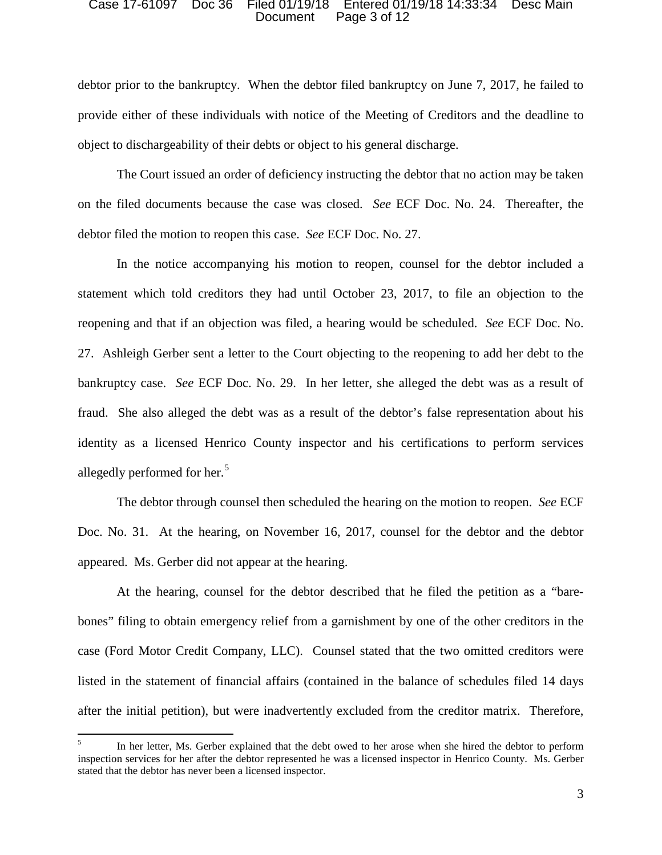#### Case 17-61097 Doc 36 Filed 01/19/18 Entered 01/19/18 14:33:34 Desc Main Document Page 3 of 12

debtor prior to the bankruptcy. When the debtor filed bankruptcy on June 7, 2017, he failed to provide either of these individuals with notice of the Meeting of Creditors and the deadline to object to dischargeability of their debts or object to his general discharge.

The Court issued an order of deficiency instructing the debtor that no action may be taken on the filed documents because the case was closed. *See* ECF Doc. No. 24. Thereafter, the debtor filed the motion to reopen this case. *See* ECF Doc. No. 27.

In the notice accompanying his motion to reopen, counsel for the debtor included a statement which told creditors they had until October 23, 2017, to file an objection to the reopening and that if an objection was filed, a hearing would be scheduled. *See* ECF Doc. No. 27. Ashleigh Gerber sent a letter to the Court objecting to the reopening to add her debt to the bankruptcy case. *See* ECF Doc. No. 29. In her letter, she alleged the debt was as a result of fraud. She also alleged the debt was as a result of the debtor's false representation about his identity as a licensed Henrico County inspector and his certifications to perform services allegedly performed for her.<sup>5</sup>

The debtor through counsel then scheduled the hearing on the motion to reopen. *See* ECF Doc. No. 31. At the hearing, on November 16, 2017, counsel for the debtor and the debtor appeared. Ms. Gerber did not appear at the hearing.

At the hearing, counsel for the debtor described that he filed the petition as a "barebones" filing to obtain emergency relief from a garnishment by one of the other creditors in the case (Ford Motor Credit Company, LLC). Counsel stated that the two omitted creditors were listed in the statement of financial affairs (contained in the balance of schedules filed 14 days after the initial petition), but were inadvertently excluded from the creditor matrix. Therefore,

<sup>5</sup> In her letter, Ms. Gerber explained that the debt owed to her arose when she hired the debtor to perform inspection services for her after the debtor represented he was a licensed inspector in Henrico County. Ms. Gerber stated that the debtor has never been a licensed inspector.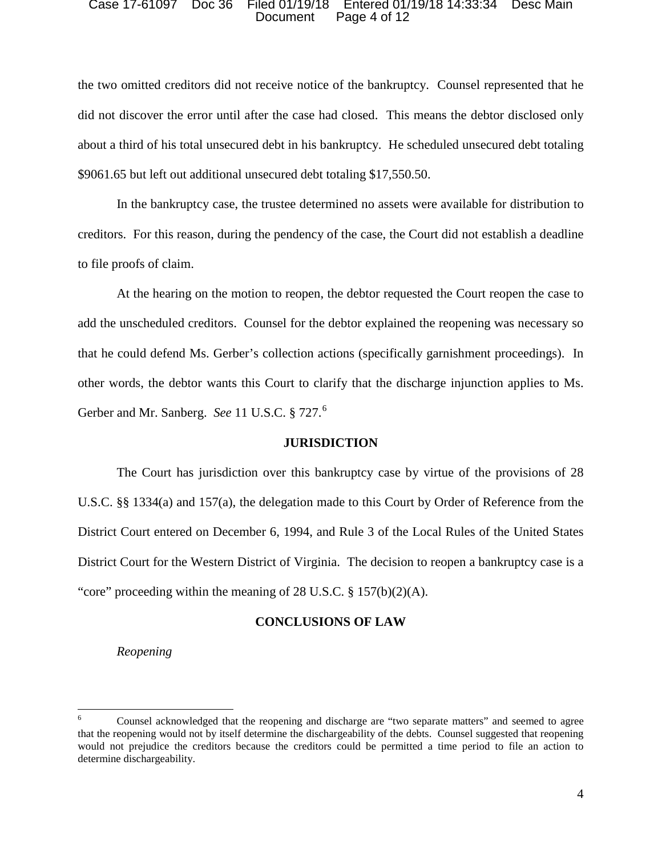#### Case 17-61097 Doc 36 Filed 01/19/18 Entered 01/19/18 14:33:34 Desc Main Document Page 4 of 12

the two omitted creditors did not receive notice of the bankruptcy. Counsel represented that he did not discover the error until after the case had closed. This means the debtor disclosed only about a third of his total unsecured debt in his bankruptcy. He scheduled unsecured debt totaling \$9061.65 but left out additional unsecured debt totaling \$17,550.50.

In the bankruptcy case, the trustee determined no assets were available for distribution to creditors. For this reason, during the pendency of the case, the Court did not establish a deadline to file proofs of claim.

At the hearing on the motion to reopen, the debtor requested the Court reopen the case to add the unscheduled creditors. Counsel for the debtor explained the reopening was necessary so that he could defend Ms. Gerber's collection actions (specifically garnishment proceedings). In other words, the debtor wants this Court to clarify that the discharge injunction applies to Ms. Gerber and Mr. Sanberg. *See* 11 U.S.C. § 727. 6

### **JURISDICTION**

The Court has jurisdiction over this bankruptcy case by virtue of the provisions of 28 U.S.C. §§ 1334(a) and 157(a), the delegation made to this Court by Order of Reference from the District Court entered on December 6, 1994, and Rule 3 of the Local Rules of the United States District Court for the Western District of Virginia. The decision to reopen a bankruptcy case is a "core" proceeding within the meaning of 28 U.S.C.  $\S 157(b)(2)(A)$ .

### **CONCLUSIONS OF LAW**

*Reopening*

<sup>6</sup> Counsel acknowledged that the reopening and discharge are "two separate matters" and seemed to agree that the reopening would not by itself determine the dischargeability of the debts. Counsel suggested that reopening would not prejudice the creditors because the creditors could be permitted a time period to file an action to determine dischargeability.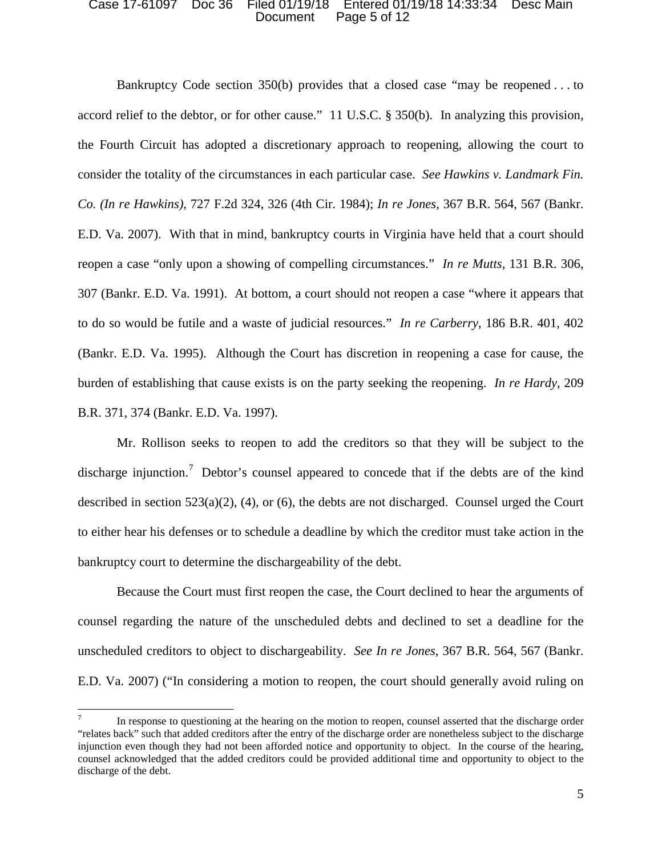#### Case 17-61097 Doc 36 Filed 01/19/18 Entered 01/19/18 14:33:34 Desc Main Document Page 5 of 12

Bankruptcy Code section 350(b) provides that a closed case "may be reopened . . . to accord relief to the debtor, or for other cause." 11 U.S.C. § 350(b). In analyzing this provision, the Fourth Circuit has adopted a discretionary approach to reopening, allowing the court to consider the totality of the circumstances in each particular case. *See Hawkins v. Landmark Fin. Co. (In re Hawkins)*, 727 F.2d 324, 326 (4th Cir. 1984); *In re Jones*, 367 B.R. 564, 567 (Bankr. E.D. Va. 2007). With that in mind, bankruptcy courts in Virginia have held that a court should reopen a case "only upon a showing of compelling circumstances." *In re Mutts*, 131 B.R. 306, 307 (Bankr. E.D. Va. 1991). At bottom, a court should not reopen a case "where it appears that to do so would be futile and a waste of judicial resources." *In re Carberry*, 186 B.R. 401, 402 (Bankr. E.D. Va. 1995). Although the Court has discretion in reopening a case for cause, the burden of establishing that cause exists is on the party seeking the reopening. *In re Hardy*, 209 B.R. 371, 374 (Bankr. E.D. Va. 1997).

Mr. Rollison seeks to reopen to add the creditors so that they will be subject to the discharge injunction.<sup>7</sup> Debtor's counsel appeared to concede that if the debts are of the kind described in section 523(a)(2), (4), or (6), the debts are not discharged. Counsel urged the Court to either hear his defenses or to schedule a deadline by which the creditor must take action in the bankruptcy court to determine the dischargeability of the debt.

Because the Court must first reopen the case, the Court declined to hear the arguments of counsel regarding the nature of the unscheduled debts and declined to set a deadline for the unscheduled creditors to object to dischargeability. *See In re Jones*, 367 B.R. 564, 567 (Bankr. E.D. Va. 2007) ("In considering a motion to reopen, the court should generally avoid ruling on

In response to questioning at the hearing on the motion to reopen, counsel asserted that the discharge order "relates back" such that added creditors after the entry of the discharge order are nonetheless subject to the discharge injunction even though they had not been afforded notice and opportunity to object. In the course of the hearing, counsel acknowledged that the added creditors could be provided additional time and opportunity to object to the discharge of the debt.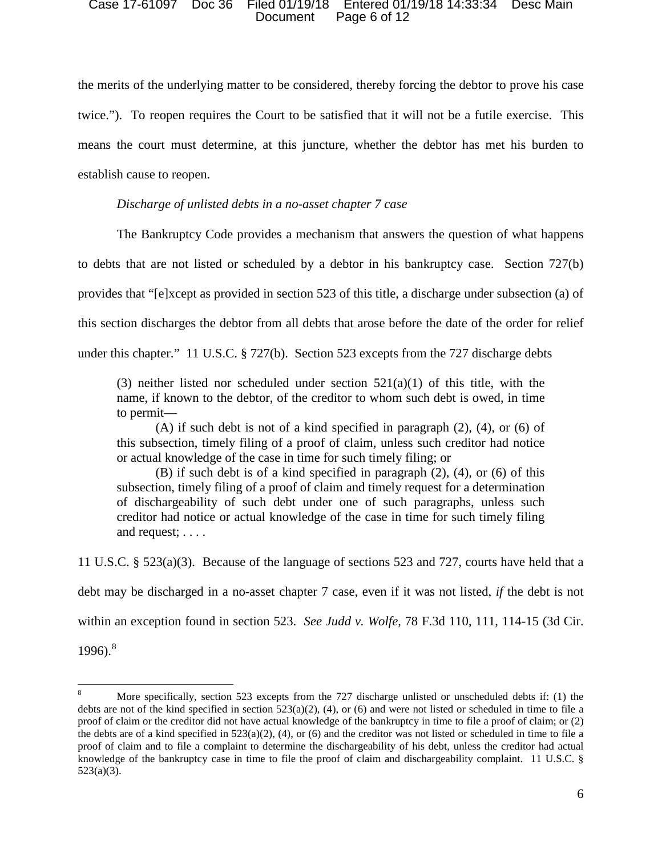#### Case 17-61097 Doc 36 Filed 01/19/18 Entered 01/19/18 14:33:34 Desc Main Document Page 6 of 12

the merits of the underlying matter to be considered, thereby forcing the debtor to prove his case twice."). To reopen requires the Court to be satisfied that it will not be a futile exercise. This means the court must determine, at this juncture, whether the debtor has met his burden to establish cause to reopen.

*Discharge of unlisted debts in a no-asset chapter 7 case*

The Bankruptcy Code provides a mechanism that answers the question of what happens

to debts that are not listed or scheduled by a debtor in his bankruptcy case. Section 727(b)

provides that "[e]xcept as provided in section 523 of this title, a discharge under subsection (a) of

this section discharges the debtor from all debts that arose before the date of the order for relief

under this chapter." 11 U.S.C. § 727(b). Section 523 excepts from the 727 discharge debts

(3) neither listed nor scheduled under section  $521(a)(1)$  of this title, with the name, if known to the debtor, of the creditor to whom such debt is owed, in time to permit—

(A) if such debt is not of a kind specified in paragraph (2), (4), or (6) of this subsection, timely filing of a proof of claim, unless such creditor had notice or actual knowledge of the case in time for such timely filing; or

(B) if such debt is of a kind specified in paragraph (2), (4), or (6) of this subsection, timely filing of a proof of claim and timely request for a determination of dischargeability of such debt under one of such paragraphs, unless such creditor had notice or actual knowledge of the case in time for such timely filing and request; . . . .

11 U.S.C. § 523(a)(3). Because of the language of sections 523 and 727, courts have held that a debt may be discharged in a no-asset chapter 7 case, even if it was not listed, *if* the debt is not within an exception found in section 523. *See Judd v. Wolfe*, 78 F.3d 110, 111, 114-15 (3d Cir.  $1996$ .<sup>8</sup>

<sup>8</sup> More specifically, section 523 excepts from the 727 discharge unlisted or unscheduled debts if: (1) the debts are not of the kind specified in section  $523(a)(2)$ , (4), or (6) and were not listed or scheduled in time to file a proof of claim or the creditor did not have actual knowledge of the bankruptcy in time to file a proof of claim; or (2) the debts are of a kind specified in  $523(a)(2)$ , (4), or (6) and the creditor was not listed or scheduled in time to file a proof of claim and to file a complaint to determine the dischargeability of his debt, unless the creditor had actual knowledge of the bankruptcy case in time to file the proof of claim and dischargeability complaint. 11 U.S.C. § 523(a)(3).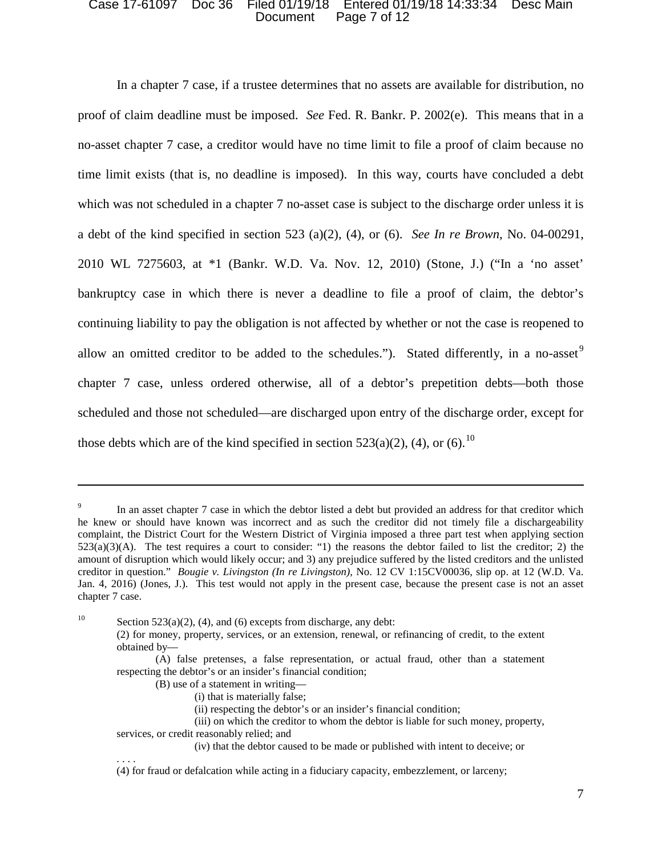#### Case 17-61097 Doc 36 Filed 01/19/18 Entered 01/19/18 14:33:34 Desc Main Document Page 7 of 12

In a chapter 7 case, if a trustee determines that no assets are available for distribution, no proof of claim deadline must be imposed. *See* Fed. R. Bankr. P. 2002(e). This means that in a no-asset chapter 7 case, a creditor would have no time limit to file a proof of claim because no time limit exists (that is, no deadline is imposed). In this way, courts have concluded a debt which was not scheduled in a chapter 7 no-asset case is subject to the discharge order unless it is a debt of the kind specified in section 523 (a)(2), (4), or (6). *See In re Brown*, No. 04-00291, 2010 WL 7275603, at \*1 (Bankr. W.D. Va. Nov. 12, 2010) (Stone, J.) ("In a 'no asset' bankruptcy case in which there is never a deadline to file a proof of claim, the debtor's continuing liability to pay the obligation is not affected by whether or not the case is reopened to allow an omitted creditor to be added to the schedules."). Stated differently, in a no-asset  $9$ chapter 7 case, unless ordered otherwise, all of a debtor's prepetition debts—both those scheduled and those not scheduled—are discharged upon entry of the discharge order, except for those debts which are of the kind specified in section 523(a)(2), (4), or (6).<sup>10</sup>

<sup>10</sup> Section 523(a)(2), (4), and (6) excepts from discharge, any debt:

 $\overline{\phantom{a}}$ 

. . . .

In an asset chapter 7 case in which the debtor listed a debt but provided an address for that creditor which he knew or should have known was incorrect and as such the creditor did not timely file a dischargeability complaint, the District Court for the Western District of Virginia imposed a three part test when applying section 523(a)(3)(A). The test requires a court to consider: "1) the reasons the debtor failed to list the creditor; 2) the amount of disruption which would likely occur; and 3) any prejudice suffered by the listed creditors and the unlisted creditor in question." *Bougie v. Livingston (In re Livingston)*, No. 12 CV 1:15CV00036, slip op. at 12 (W.D. Va. Jan. 4, 2016) (Jones, J.). This test would not apply in the present case, because the present case is not an asset chapter 7 case.

<sup>(2)</sup> for money, property, services, or an extension, renewal, or refinancing of credit, to the extent obtained by—

<sup>(</sup>A) false pretenses, a false representation, or actual fraud, other than a statement respecting the debtor's or an insider's financial condition;

<sup>(</sup>B) use of a statement in writing—

<sup>(</sup>i) that is materially false;

<sup>(</sup>ii) respecting the debtor's or an insider's financial condition;

<sup>(</sup>iii) on which the creditor to whom the debtor is liable for such money, property, services, or credit reasonably relied; and

<sup>(</sup>iv) that the debtor caused to be made or published with intent to deceive; or

<sup>(4)</sup> for fraud or defalcation while acting in a fiduciary capacity, embezzlement, or larceny;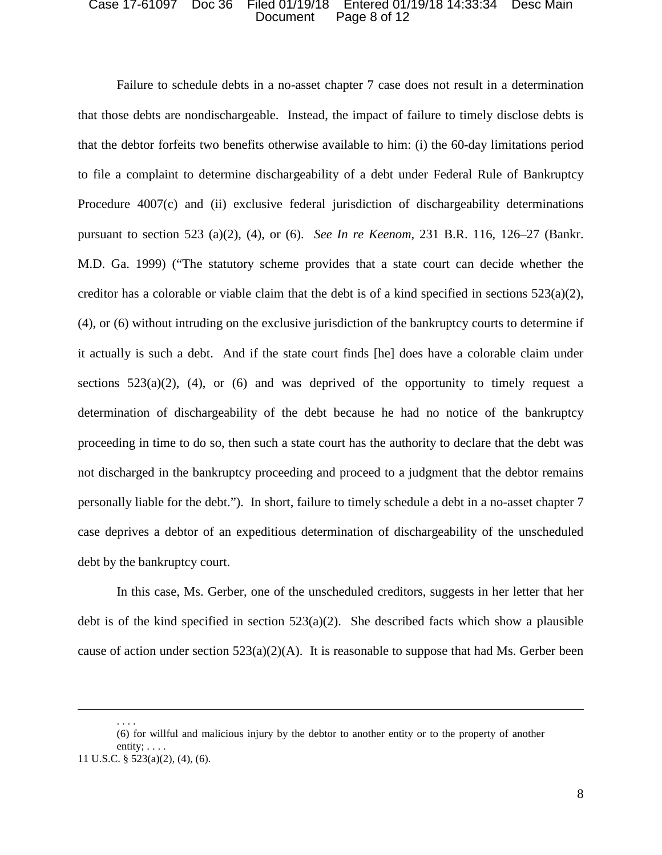#### Case 17-61097 Doc 36 Filed 01/19/18 Entered 01/19/18 14:33:34 Desc Main Document Page 8 of 12

Failure to schedule debts in a no-asset chapter 7 case does not result in a determination that those debts are nondischargeable. Instead, the impact of failure to timely disclose debts is that the debtor forfeits two benefits otherwise available to him: (i) the 60-day limitations period to file a complaint to determine dischargeability of a debt under Federal Rule of Bankruptcy Procedure 4007(c) and (ii) exclusive federal jurisdiction of dischargeability determinations pursuant to section 523 (a)(2), (4), or (6). *See In re Keenom*, 231 B.R. 116, 126–27 (Bankr. M.D. Ga. 1999) ("The statutory scheme provides that a state court can decide whether the creditor has a colorable or viable claim that the debt is of a kind specified in sections  $523(a)(2)$ , (4), or (6) without intruding on the exclusive jurisdiction of the bankruptcy courts to determine if it actually is such a debt. And if the state court finds [he] does have a colorable claim under sections  $523(a)(2)$ , (4), or (6) and was deprived of the opportunity to timely request a determination of dischargeability of the debt because he had no notice of the bankruptcy proceeding in time to do so, then such a state court has the authority to declare that the debt was not discharged in the bankruptcy proceeding and proceed to a judgment that the debtor remains personally liable for the debt."). In short, failure to timely schedule a debt in a no-asset chapter 7 case deprives a debtor of an expeditious determination of dischargeability of the unscheduled debt by the bankruptcy court.

In this case, Ms. Gerber, one of the unscheduled creditors, suggests in her letter that her debt is of the kind specified in section  $523(a)(2)$ . She described facts which show a plausible cause of action under section  $523(a)(2)(A)$ . It is reasonable to suppose that had Ms. Gerber been

. . . .

 $\overline{\phantom{a}}$ 

<sup>(6)</sup> for willful and malicious injury by the debtor to another entity or to the property of another

entity; . . . . 11 U.S.C. § 523(a)(2), (4), (6).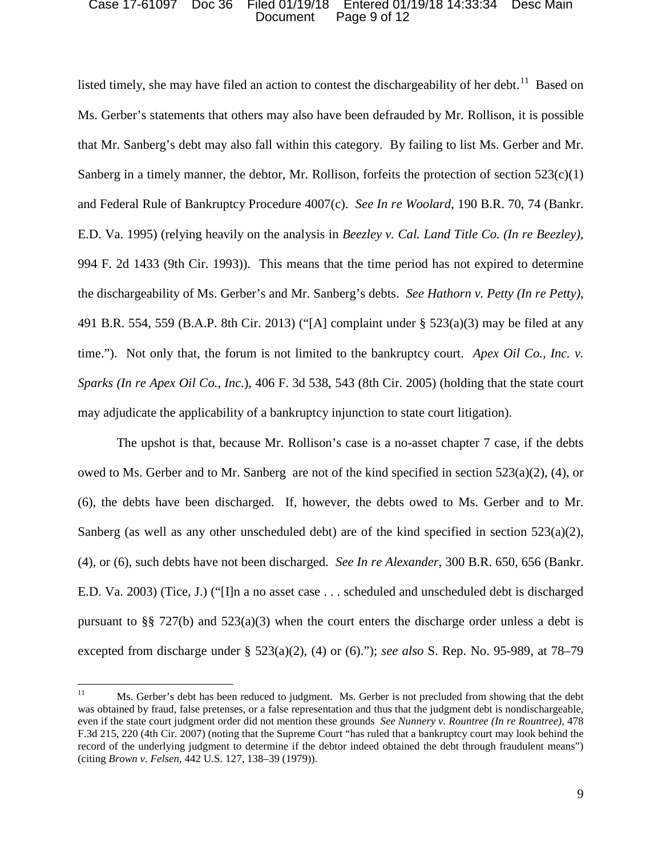#### Case 17-61097 Doc 36 Filed 01/19/18 Entered 01/19/18 14:33:34 Desc Main Document Page 9 of 12

listed timely, she may have filed an action to contest the dischargeability of her debt.<sup>11</sup> Based on Ms. Gerber's statements that others may also have been defrauded by Mr. Rollison, it is possible that Mr. Sanberg's debt may also fall within this category. By failing to list Ms. Gerber and Mr. Sanberg in a timely manner, the debtor, Mr. Rollison, forfeits the protection of section  $523(c)(1)$ and Federal Rule of Bankruptcy Procedure 4007(c). *See In re Woolard*, 190 B.R. 70, 74 (Bankr. E.D. Va. 1995) (relying heavily on the analysis in *Beezley v. Cal. Land Title Co. (In re Beezley)*, 994 F. 2d 1433 (9th Cir. 1993)). This means that the time period has not expired to determine the dischargeability of Ms. Gerber's and Mr. Sanberg's debts. *See Hathorn v. Petty (In re Petty)*, 491 B.R. 554, 559 (B.A.P. 8th Cir. 2013) ("[A] complaint under § 523(a)(3) may be filed at any time."). Not only that, the forum is not limited to the bankruptcy court. *Apex Oil Co., Inc. v. Sparks (In re Apex Oil Co., Inc.*), 406 F. 3d 538, 543 (8th Cir. 2005) (holding that the state court may adjudicate the applicability of a bankruptcy injunction to state court litigation).

The upshot is that, because Mr. Rollison's case is a no-asset chapter 7 case, if the debts owed to Ms. Gerber and to Mr. Sanberg are not of the kind specified in section 523(a)(2), (4), or (6), the debts have been discharged. If, however, the debts owed to Ms. Gerber and to Mr. Sanberg (as well as any other unscheduled debt) are of the kind specified in section  $523(a)(2)$ , (4), or (6), such debts have not been discharged. *See In re Alexander*, 300 B.R. 650, 656 (Bankr. E.D. Va. 2003) (Tice, J.) ("[I]n a no asset case . . . scheduled and unscheduled debt is discharged pursuant to §§ 727(b) and  $523(a)(3)$  when the court enters the discharge order unless a debt is excepted from discharge under § 523(a)(2), (4) or (6)."); *see also* S. Rep. No. 95-989, at 78–79

<sup>&</sup>lt;sup>11</sup> Ms. Gerber's debt has been reduced to judgment. Ms. Gerber is not precluded from showing that the debt was obtained by fraud, false pretenses, or a false representation and thus that the judgment debt is nondischargeable, even if the state court judgment order did not mention these grounds *See Nunnery v. Rountree (In re Rountree)*, 478 F.3d 215, 220 (4th Cir. 2007) (noting that the Supreme Court "has ruled that a bankruptcy court may look behind the record of the underlying judgment to determine if the debtor indeed obtained the debt through fraudulent means") (citing *Brown v. Felsen*, 442 U.S. 127, 138–39 (1979)).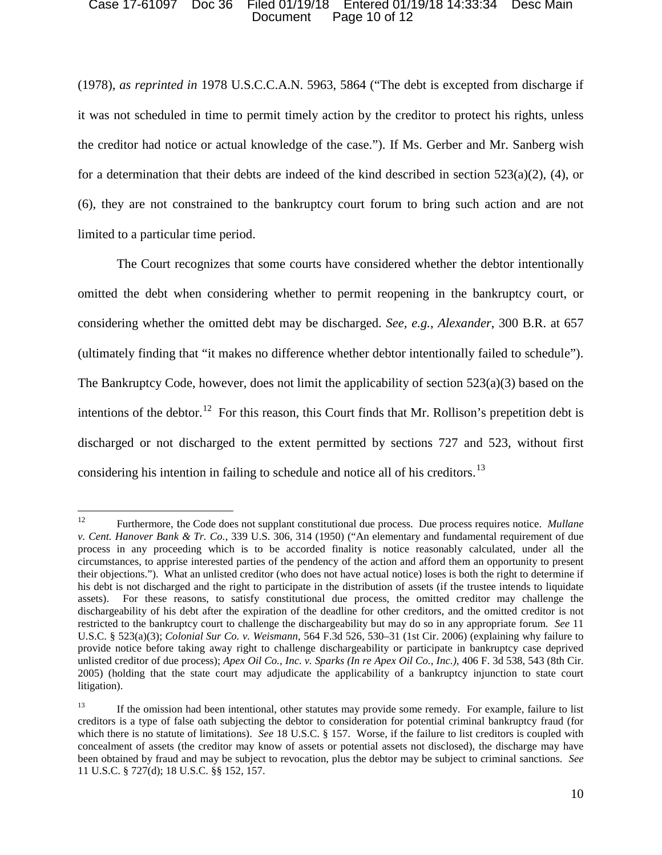#### Case 17-61097 Doc 36 Filed 01/19/18 Entered 01/19/18 14:33:34 Desc Main Document Page 10 of 12

(1978), *as reprinted in* 1978 U.S.C.C.A.N. 5963, 5864 ("The debt is excepted from discharge if it was not scheduled in time to permit timely action by the creditor to protect his rights, unless the creditor had notice or actual knowledge of the case."). If Ms. Gerber and Mr. Sanberg wish for a determination that their debts are indeed of the kind described in section  $523(a)(2)$ , (4), or (6), they are not constrained to the bankruptcy court forum to bring such action and are not limited to a particular time period.

The Court recognizes that some courts have considered whether the debtor intentionally omitted the debt when considering whether to permit reopening in the bankruptcy court, or considering whether the omitted debt may be discharged. *See, e.g.*, *Alexander*, 300 B.R. at 657 (ultimately finding that "it makes no difference whether debtor intentionally failed to schedule"). The Bankruptcy Code, however, does not limit the applicability of section 523(a)(3) based on the intentions of the debtor.<sup>12</sup> For this reason, this Court finds that Mr. Rollison's prepetition debt is discharged or not discharged to the extent permitted by sections 727 and 523, without first considering his intention in failing to schedule and notice all of his creditors.<sup>13</sup>

<sup>12</sup> <sup>12</sup> Furthermore, the Code does not supplant constitutional due process. Due process requires notice. *Mullane v. Cent. Hanover Bank & Tr. Co.*, 339 U.S. 306, 314 (1950) ("An elementary and fundamental requirement of due process in any proceeding which is to be accorded finality is notice reasonably calculated, under all the circumstances, to apprise interested parties of the pendency of the action and afford them an opportunity to present their objections."). What an unlisted creditor (who does not have actual notice) loses is both the right to determine if his debt is not discharged and the right to participate in the distribution of assets (if the trustee intends to liquidate assets). For these reasons, to satisfy constitutional due process, the omitted creditor may challenge the dischargeability of his debt after the expiration of the deadline for other creditors, and the omitted creditor is not restricted to the bankruptcy court to challenge the dischargeability but may do so in any appropriate forum. *See* 11 U.S.C. § 523(a)(3); *Colonial Sur Co. v. Weismann*, 564 F.3d 526, 530–31 (1st Cir. 2006) (explaining why failure to provide notice before taking away right to challenge dischargeability or participate in bankruptcy case deprived unlisted creditor of due process); *Apex Oil Co., Inc. v. Sparks (In re Apex Oil Co., Inc.)*, 406 F. 3d 538, 543 (8th Cir. 2005) (holding that the state court may adjudicate the applicability of a bankruptcy injunction to state court litigation).

<sup>&</sup>lt;sup>13</sup> If the omission had been intentional, other statutes may provide some remedy. For example, failure to list creditors is a type of false oath subjecting the debtor to consideration for potential criminal bankruptcy fraud (for which there is no statute of limitations). *See* 18 U.S.C. § 157. Worse, if the failure to list creditors is coupled with concealment of assets (the creditor may know of assets or potential assets not disclosed), the discharge may have been obtained by fraud and may be subject to revocation, plus the debtor may be subject to criminal sanctions. *See*  11 U.S.C. § 727(d); 18 U.S.C. §§ 152, 157.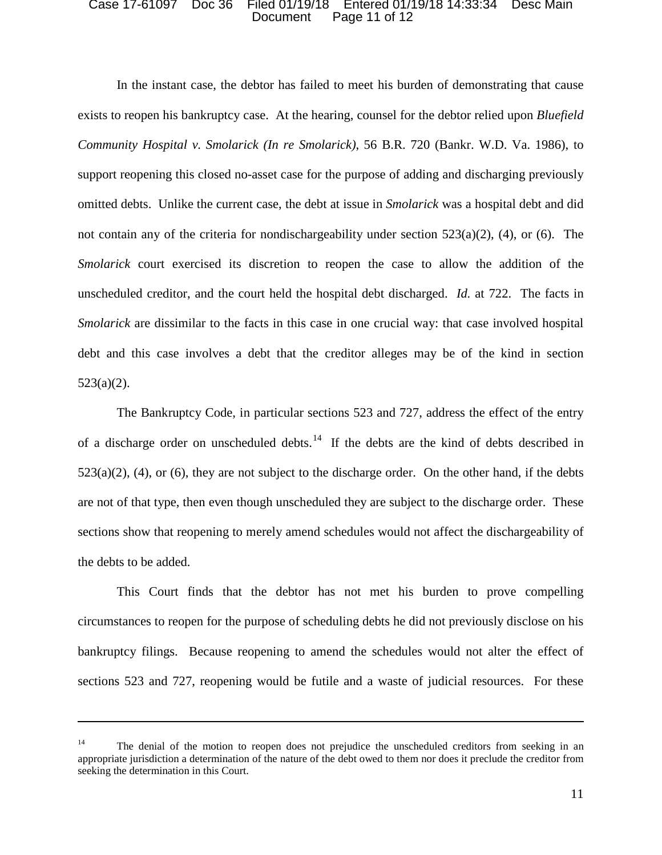#### Case 17-61097 Doc 36 Filed 01/19/18 Entered 01/19/18 14:33:34 Desc Main Document Page 11 of 12

In the instant case, the debtor has failed to meet his burden of demonstrating that cause exists to reopen his bankruptcy case. At the hearing, counsel for the debtor relied upon *Bluefield Community Hospital v. Smolarick (In re Smolarick)*, 56 B.R. 720 (Bankr. W.D. Va. 1986), to support reopening this closed no-asset case for the purpose of adding and discharging previously omitted debts. Unlike the current case, the debt at issue in *Smolarick* was a hospital debt and did not contain any of the criteria for nondischargeability under section  $523(a)(2)$ , (4), or (6). The *Smolarick* court exercised its discretion to reopen the case to allow the addition of the unscheduled creditor, and the court held the hospital debt discharged. *Id.* at 722. The facts in *Smolarick* are dissimilar to the facts in this case in one crucial way: that case involved hospital debt and this case involves a debt that the creditor alleges may be of the kind in section 523(a)(2).

The Bankruptcy Code, in particular sections 523 and 727, address the effect of the entry of a discharge order on unscheduled debts.<sup>14</sup> If the debts are the kind of debts described in  $523(a)(2)$ , (4), or (6), they are not subject to the discharge order. On the other hand, if the debts are not of that type, then even though unscheduled they are subject to the discharge order. These sections show that reopening to merely amend schedules would not affect the dischargeability of the debts to be added.

This Court finds that the debtor has not met his burden to prove compelling circumstances to reopen for the purpose of scheduling debts he did not previously disclose on his bankruptcy filings. Because reopening to amend the schedules would not alter the effect of sections 523 and 727, reopening would be futile and a waste of judicial resources. For these

l

<sup>&</sup>lt;sup>14</sup> The denial of the motion to reopen does not prejudice the unscheduled creditors from seeking in an appropriate jurisdiction a determination of the nature of the debt owed to them nor does it preclude the creditor from seeking the determination in this Court.